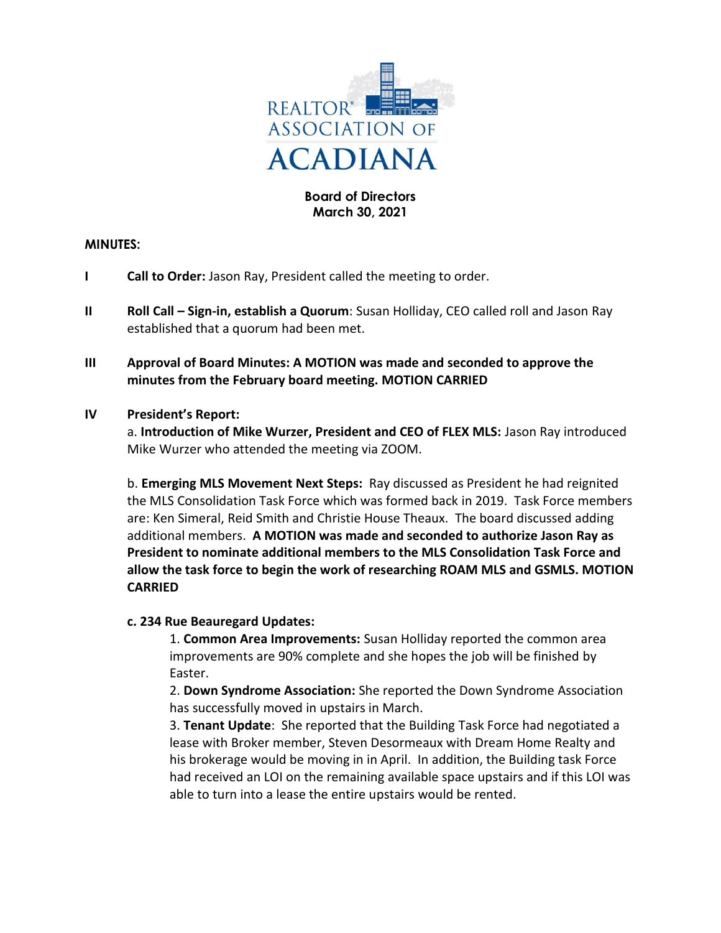

## **Board of Directors March 30, 2021**

#### **MINUTES:**

- **I Call to Order:** Jason Ray, President called the meeting to order.
- **II Roll Call Sign-in, establish a Quorum**: Susan Holliday, CEO called roll and Jason Ray established that a quorum had been met.
- **III Approval of Board Minutes: A MOTION was made and seconded to approve the minutes from the February board meeting. MOTION CARRIED**

#### **IV President's Report:**

a. **Introduction of Mike Wurzer, President and CEO of FLEX MLS:** Jason Ray introduced Mike Wurzer who attended the meeting via ZOOM.

b. **Emerging MLS Movement Next Steps:** Ray discussed as President he had reignited the MLS Consolidation Task Force which was formed back in 2019. Task Force members are: Ken Simeral, Reid Smith and Christie House Theaux. The board discussed adding additional members. **A MOTION was made and seconded to authorize Jason Ray as President to nominate additional members to the MLS Consolidation Task Force and allow the task force to begin the work of researching ROAM MLS and GSMLS. MOTION CARRIED**

### **c. 234 Rue Beauregard Updates:**

1. **Common Area Improvements:** Susan Holliday reported the common area improvements are 90% complete and she hopes the job will be finished by Easter.

2. **Down Syndrome Association:** She reported the Down Syndrome Association has successfully moved in upstairs in March.

3. **Tenant Update**: She reported that the Building Task Force had negotiated a lease with Broker member, Steven Desormeaux with Dream Home Realty and his brokerage would be moving in in April. In addition, the Building task Force had received an LOI on the remaining available space upstairs and if this LOI was able to turn into a lease the entire upstairs would be rented.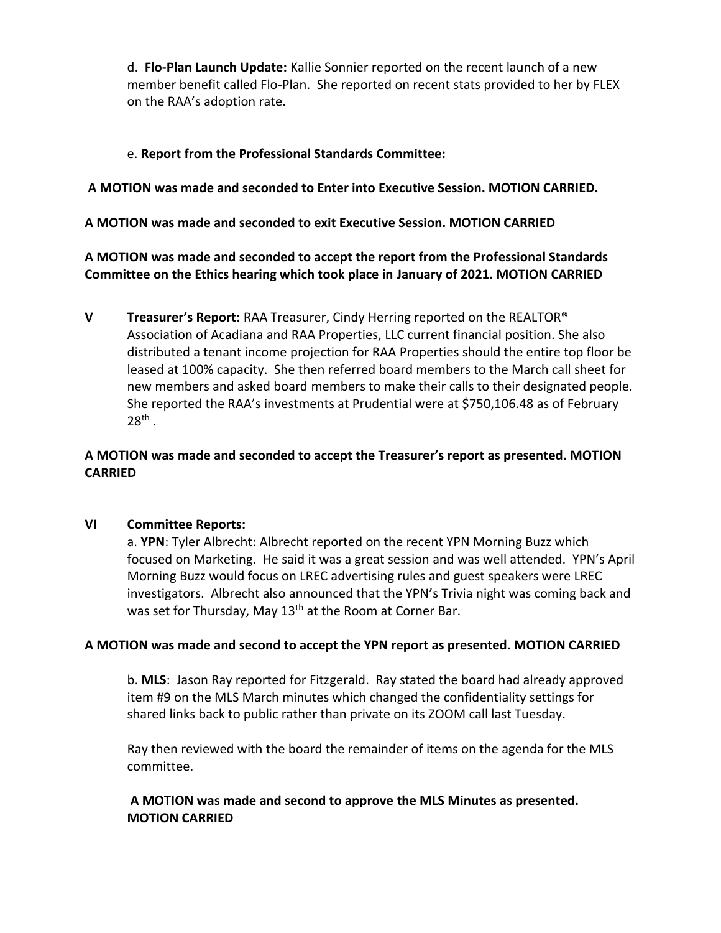d. **Flo-Plan Launch Update:** Kallie Sonnier reported on the recent launch of a new member benefit called Flo-Plan. She reported on recent stats provided to her by FLEX on the RAA's adoption rate.

# e. **Report from the Professional Standards Committee:**

# **A MOTION was made and seconded to Enter into Executive Session. MOTION CARRIED.**

## **A MOTION was made and seconded to exit Executive Session. MOTION CARRIED**

**A MOTION was made and seconded to accept the report from the Professional Standards Committee on the Ethics hearing which took place in January of 2021. MOTION CARRIED**

**V Treasurer's Report:** RAA Treasurer, Cindy Herring reported on the REALTOR® Association of Acadiana and RAA Properties, LLC current financial position. She also distributed a tenant income projection for RAA Properties should the entire top floor be leased at 100% capacity. She then referred board members to the March call sheet for new members and asked board members to make their calls to their designated people. She reported the RAA's investments at Prudential were at \$750,106.48 as of February  $28<sup>th</sup>$ .

# **A MOTION was made and seconded to accept the Treasurer's report as presented. MOTION CARRIED**

### **VI Committee Reports:**

a. **YPN**: Tyler Albrecht: Albrecht reported on the recent YPN Morning Buzz which focused on Marketing. He said it was a great session and was well attended. YPN's April Morning Buzz would focus on LREC advertising rules and guest speakers were LREC investigators. Albrecht also announced that the YPN's Trivia night was coming back and was set for Thursday, May 13<sup>th</sup> at the Room at Corner Bar.

### **A MOTION was made and second to accept the YPN report as presented. MOTION CARRIED**

b. **MLS**: Jason Ray reported for Fitzgerald. Ray stated the board had already approved item #9 on the MLS March minutes which changed the confidentiality settings for shared links back to public rather than private on its ZOOM call last Tuesday.

Ray then reviewed with the board the remainder of items on the agenda for the MLS committee.

## **A MOTION was made and second to approve the MLS Minutes as presented. MOTION CARRIED**